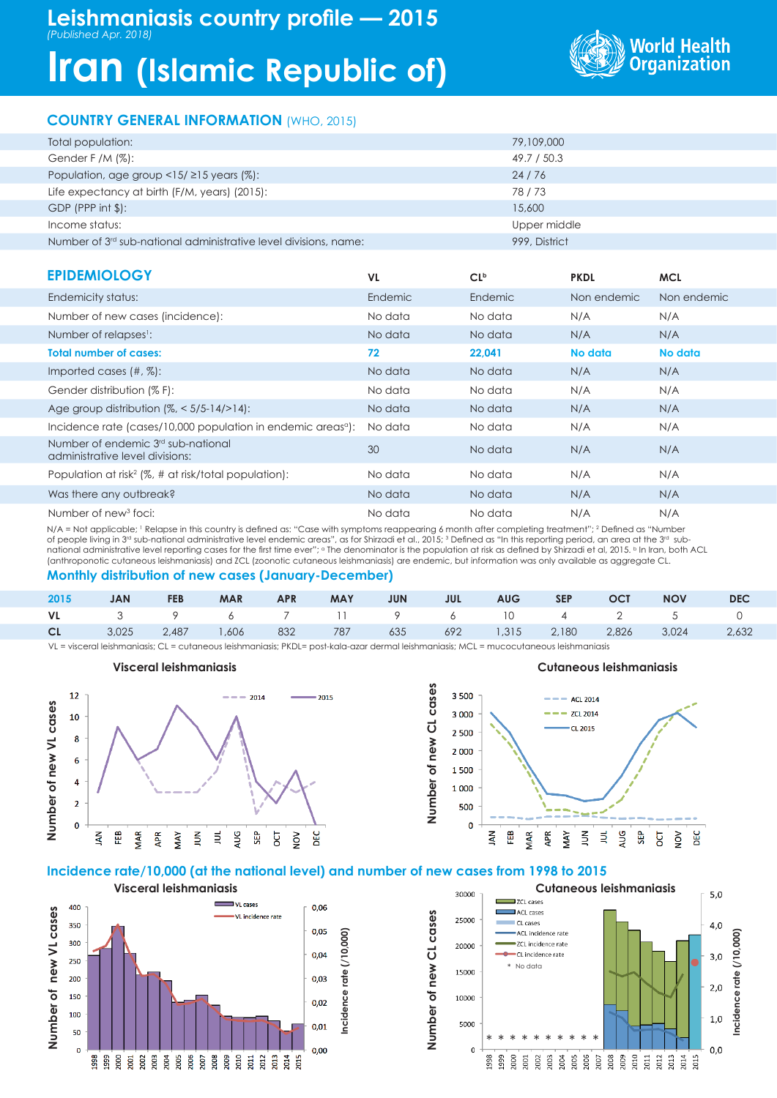# **Iran (Islamic Republic of)**



# **COUNTRY GENERAL INFORMATION** (WHO, 2015)

| Total population:                                                  | 79,109,000    |
|--------------------------------------------------------------------|---------------|
| Gender F /M $(\%)$ :                                               | 49.7 / 50.3   |
| Population, age group $\langle 15/215 \rangle$ years (%):          | 24/76         |
| Life expectancy at birth (F/M, years) (2015):                      | 78/73         |
| $GDP$ (PPP int $$$ ):                                              | 15,600        |
| Income status:                                                     | Upper middle  |
| Number of $3rd$ sub-national administrative level divisions, name: | 999, District |

| <b>EPIDEMIOLOGY</b>                                                      | VL.     | CL <sub>p</sub> | <b>PKDL</b> | <b>MCL</b>  |
|--------------------------------------------------------------------------|---------|-----------------|-------------|-------------|
| Endemicity status:                                                       | Endemic | Endemic         | Non endemic | Non endemic |
| Number of new cases (incidence):                                         | No data | No data         | N/A         | N/A         |
| Number of relapses <sup>1</sup> :                                        | No data | No data         | N/A         | N/A         |
| <b>Total number of cases:</b>                                            | 72      | 22,041          | No data     | No data     |
| Imported cases $(\#, \%)$ :                                              | No data | No data         | N/A         | N/A         |
| Gender distribution (% F):                                               | No data | No data         | N/A         | N/A         |
| Age group distribution $(\%,-5/5-14/>14)$ :                              | No data | No data         | N/A         | N/A         |
| Incidence rate (cases/10,000 population in endemic areas <sup>a</sup> ): | No data | No data         | N/A         | N/A         |
| Number of endemic 3rd sub-national<br>administrative level divisions:    | 30      | No data         | N/A         | N/A         |
| Population at risk <sup>2</sup> (%, # at risk/total population):         | No data | No data         | N/A         | N/A         |
| Was there any outbreak?                                                  | No data | No data         | N/A         | N/A         |
| Number of new <sup>3</sup> foci:                                         | No data | No data         | N/A         | N/A         |

N/A = Not applicable; 1 Relapse in this country is defined as: "Case with symptoms reappearing 6 month after completing treatment"; 2 Defined as "Number of people living in 3<sup>rd</sup> sub-national administrative level endemic areas", as for Shirzadi et al., 2015; 3 Defined as "In this reporting period, an area at the 3rd subnational administrative level reporting cases for the first time ever"; <sup>a</sup> The denominator is the population at risk as defined by Shirzadi et al, 2015. <sup>b</sup> In Iran, both ACL (anthroponotic cutaneous leishmaniasis) and ZCL (zoonotic cutaneous leishmaniasis) are endemic, but information was only available as aggregate CL.

# **Monthly distribution of new cases (January-December)**

| 2015 | <b>JAN</b> | <b>FEB</b> | MAR APR | MAY MAY | <b>JUN</b> | JUL AUG SEP OCT NOV |  |                                                                           | <b>DEC</b> |
|------|------------|------------|---------|---------|------------|---------------------|--|---------------------------------------------------------------------------|------------|
|      |            |            |         |         |            |                     |  | VL 3 9 6 7 11 9 6 10 4 2 5 0                                              |            |
|      |            |            |         |         |            |                     |  | <b>CL</b> 3,025 2,487 1,606 832 787 635 692 1,315 2,180 2,826 3,024 2,632 |            |

**Number of new CL cases**

Number of new CL cases

VL = visceral leishmaniasis; CL = cutaneous leishmaniasis; PKDL= post-kala-azar dermal leishmaniasis; MCL = mucocutaneous leishmaniasis

# **Number of new VL cases**<br>  $\begin{array}{c|c|c|c|c|c|c|c} \hline \text{R} & \text{R} & \text{R} & \text{R} & \text{R} & \text{R} & \text{R} & \text{R} & \text{R} & \text{R} & \text{R} & \text{R} & \text{R} & \text{R} & \text{R} & \text{R} & \text{R} & \text{R} & \text{R} & \text{R} & \text{R} & \text{R} & \text{R} & \text{R} & \text{R} & \text{R} & \text{R} & \text{R} & \text$



# **Incidence rate/10,000 (at the national level) and number of new cases from 1998 to 2015**





#### **Visceral leishmaniasis Cutaneous leishmaniasis**